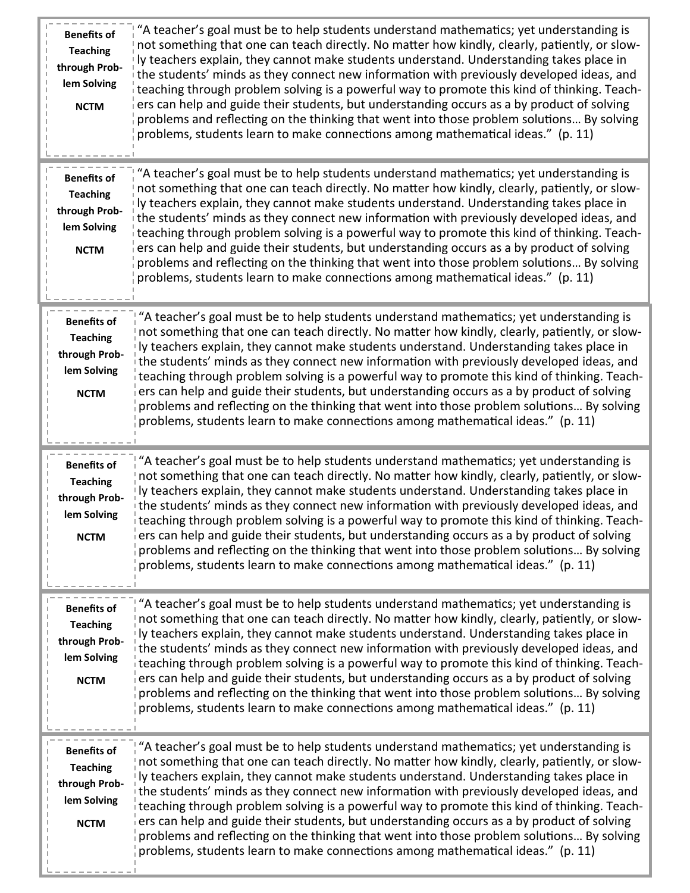| <b>Benefits of</b><br><b>Teaching</b><br>through Prob-<br>lem Solving<br><b>NCTM</b> | "A teacher's goal must be to help students understand mathematics; yet understanding is<br>not something that one can teach directly. No matter how kindly, clearly, patiently, or slow-<br>ly teachers explain, they cannot make students understand. Understanding takes place in<br>the students' minds as they connect new information with previously developed ideas, and<br>teaching through problem solving is a powerful way to promote this kind of thinking. Teach-<br>ers can help and guide their students, but understanding occurs as a by product of solving<br>problems and reflecting on the thinking that went into those problem solutions By solving<br>problems, students learn to make connections among mathematical ideas." (p. 11) |
|--------------------------------------------------------------------------------------|--------------------------------------------------------------------------------------------------------------------------------------------------------------------------------------------------------------------------------------------------------------------------------------------------------------------------------------------------------------------------------------------------------------------------------------------------------------------------------------------------------------------------------------------------------------------------------------------------------------------------------------------------------------------------------------------------------------------------------------------------------------|
| <b>Benefits of</b><br><b>Teaching</b><br>through Prob-<br>lem Solving<br><b>NCTM</b> | "A teacher's goal must be to help students understand mathematics; yet understanding is<br>not something that one can teach directly. No matter how kindly, clearly, patiently, or slow-<br>ly teachers explain, they cannot make students understand. Understanding takes place in<br>the students' minds as they connect new information with previously developed ideas, and<br>teaching through problem solving is a powerful way to promote this kind of thinking. Teach-<br>ers can help and guide their students, but understanding occurs as a by product of solving<br>problems and reflecting on the thinking that went into those problem solutions By solving<br>problems, students learn to make connections among mathematical ideas." (p. 11) |
| <b>Benefits of</b><br><b>Teaching</b><br>through Prob-<br>lem Solving<br><b>NCTM</b> | "A teacher's goal must be to help students understand mathematics; yet understanding is<br>not something that one can teach directly. No matter how kindly, clearly, patiently, or slow-<br>ly teachers explain, they cannot make students understand. Understanding takes place in<br>the students' minds as they connect new information with previously developed ideas, and<br>teaching through problem solving is a powerful way to promote this kind of thinking. Teach-<br>ers can help and guide their students, but understanding occurs as a by product of solving<br>problems and reflecting on the thinking that went into those problem solutions By solving<br>problems, students learn to make connections among mathematical ideas." (p. 11) |
| <b>Benefits of</b><br><b>Teaching</b><br>through Prob-<br>lem Solving<br><b>NCTM</b> | "A teacher's goal must be to help students understand mathematics; yet understanding is<br>not something that one can teach directly. No matter how kindly, clearly, patiently, or slow-<br>ly teachers explain, they cannot make students understand. Understanding takes place in<br>the students' minds as they connect new information with previously developed ideas, and<br>teaching through problem solving is a powerful way to promote this kind of thinking. Teach-<br>ers can help and guide their students, but understanding occurs as a by product of solving<br>problems and reflecting on the thinking that went into those problem solutions By solving<br>problems, students learn to make connections among mathematical ideas." (p. 11) |
| <b>Benefits of</b><br><b>Teaching</b><br>through Prob-<br>lem Solving<br><b>NCTM</b> | "A teacher's goal must be to help students understand mathematics; yet understanding is<br>not something that one can teach directly. No matter how kindly, clearly, patiently, or slow-<br>ly teachers explain, they cannot make students understand. Understanding takes place in<br>the students' minds as they connect new information with previously developed ideas, and<br>teaching through problem solving is a powerful way to promote this kind of thinking. Teach-<br>ers can help and guide their students, but understanding occurs as a by product of solving<br>problems and reflecting on the thinking that went into those problem solutions By solving<br>problems, students learn to make connections among mathematical ideas." (p. 11) |
| <b>Benefits of</b><br><b>Teaching</b><br>through Prob-<br>lem Solving<br><b>NCTM</b> | "A teacher's goal must be to help students understand mathematics; yet understanding is<br>not something that one can teach directly. No matter how kindly, clearly, patiently, or slow-<br>ly teachers explain, they cannot make students understand. Understanding takes place in<br>the students' minds as they connect new information with previously developed ideas, and<br>teaching through problem solving is a powerful way to promote this kind of thinking. Teach-<br>ers can help and guide their students, but understanding occurs as a by product of solving<br>problems and reflecting on the thinking that went into those problem solutions By solving<br>problems, students learn to make connections among mathematical ideas." (p. 11) |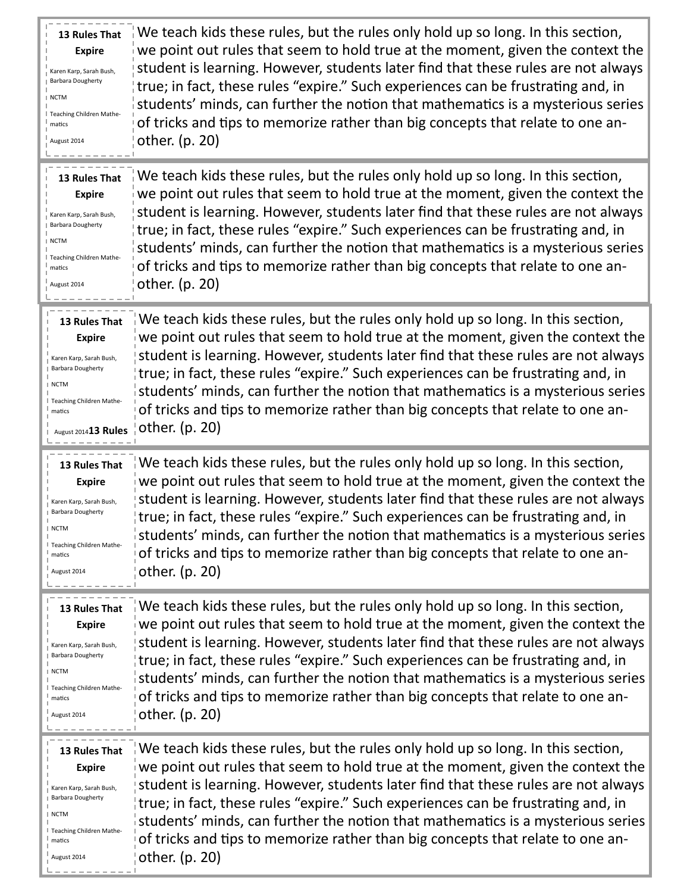| <b>13 Rules That</b><br><b>Expire</b><br>Karen Karp, Sarah Bush,<br><b>Barbara Dougherty</b><br>∣NCTM<br>Teaching Children Mathe-<br>matics<br>August 2014    | We teach kids these rules, but the rules only hold up so long. In this section,<br>we point out rules that seem to hold true at the moment, given the context the<br>student is learning. However, students later find that these rules are not always<br>true; in fact, these rules "expire." Such experiences can be frustrating and, in<br>students' minds, can further the notion that mathematics is a mysterious series<br>of tricks and tips to memorize rather than big concepts that relate to one an-<br>other. (p. 20) |
|---------------------------------------------------------------------------------------------------------------------------------------------------------------|-----------------------------------------------------------------------------------------------------------------------------------------------------------------------------------------------------------------------------------------------------------------------------------------------------------------------------------------------------------------------------------------------------------------------------------------------------------------------------------------------------------------------------------|
| 13 Rules That<br><b>Expire</b><br>Karen Karp, Sarah Bush,<br><b>Barbara Dougherty</b><br>I NCTM<br>Teaching Children Mathe-<br>matics<br>August 2014          | We teach kids these rules, but the rules only hold up so long. In this section,<br>we point out rules that seem to hold true at the moment, given the context the<br>student is learning. However, students later find that these rules are not always<br>true; in fact, these rules "expire." Such experiences can be frustrating and, in<br>students' minds, can further the notion that mathematics is a mysterious series<br>of tricks and tips to memorize rather than big concepts that relate to one an-<br>other. (p. 20) |
| 13 Rules That<br><b>Expire</b><br>Karen Karp, Sarah Bush,<br><b>Barbara Dougherty</b><br>∣NCTM<br>I Teaching Children Mathe-<br>matics<br>August 201413 Rules | We teach kids these rules, but the rules only hold up so long. In this section,<br>we point out rules that seem to hold true at the moment, given the context the<br>student is learning. However, students later find that these rules are not always<br>true; in fact, these rules "expire." Such experiences can be frustrating and, in<br>students' minds, can further the notion that mathematics is a mysterious series<br>of tricks and tips to memorize rather than big concepts that relate to one an-<br>other. (p. 20) |
| 13 Rules That<br><b>Expire</b><br>Karen Karp, Sarah Bush,<br><b>Barbara Dougherty</b><br><b>NCTM</b><br>Teaching Children Mathe-<br>matics<br>August 2014     | We teach kids these rules, but the rules only hold up so long. In this section,<br>we point out rules that seem to hold true at the moment, given the context the<br>student is learning. However, students later find that these rules are not always<br>true; in fact, these rules "expire." Such experiences can be frustrating and, in<br>students' minds, can further the notion that mathematics is a mysterious series<br>of tricks and tips to memorize rather than big concepts that relate to one an-<br>other. (p. 20) |
| <b>13 Rules That</b><br><b>Expire</b><br>Karen Karp, Sarah Bush,<br><b>Barbara Dougherty</b><br>∣NCTM<br>Teaching Children Mathe-<br>matics<br>August 2014    | We teach kids these rules, but the rules only hold up so long. In this section,<br>we point out rules that seem to hold true at the moment, given the context the<br>student is learning. However, students later find that these rules are not always<br>true; in fact, these rules "expire." Such experiences can be frustrating and, in<br>students' minds, can further the notion that mathematics is a mysterious series<br>of tricks and tips to memorize rather than big concepts that relate to one an-<br>other. (p. 20) |
| 13 Rules That<br><b>Expire</b><br>Karen Karp, Sarah Bush,<br><b>Barbara Dougherty</b><br>I NCTM<br>Teaching Children Mathe-<br>matics<br>August 2014          | We teach kids these rules, but the rules only hold up so long. In this section,<br>we point out rules that seem to hold true at the moment, given the context the<br>student is learning. However, students later find that these rules are not always<br>true; in fact, these rules "expire." Such experiences can be frustrating and, in<br>students' minds, can further the notion that mathematics is a mysterious series<br>of tricks and tips to memorize rather than big concepts that relate to one an-<br>other. (p. 20) |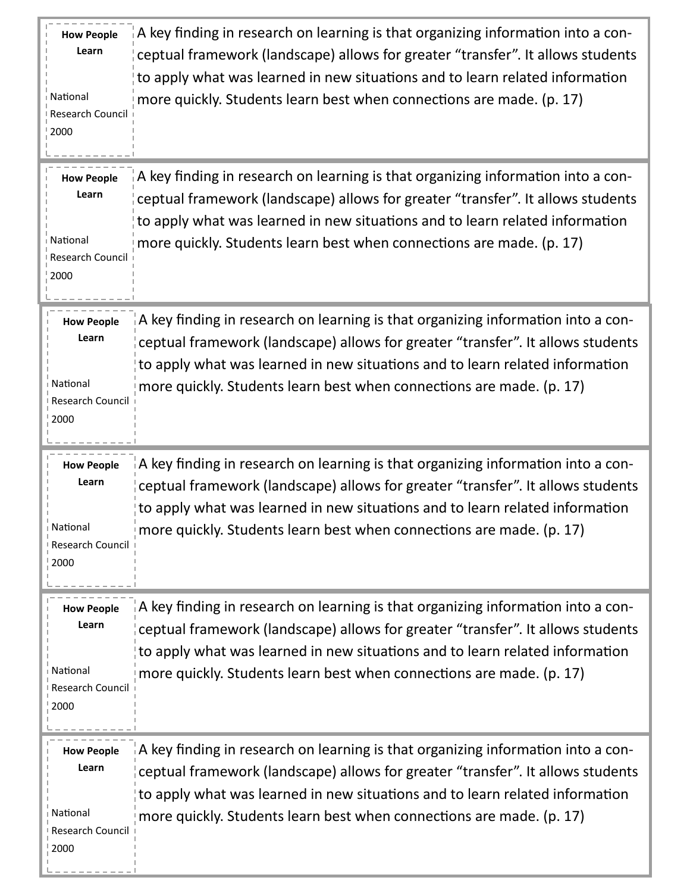| <b>How People</b><br>Learn<br>National<br>Research Council<br>2000        | A key finding in research on learning is that organizing information into a con-<br>ceptual framework (landscape) allows for greater "transfer". It allows students<br>to apply what was learned in new situations and to learn related information<br>more quickly. Students learn best when connections are made. (p. 17)        |
|---------------------------------------------------------------------------|------------------------------------------------------------------------------------------------------------------------------------------------------------------------------------------------------------------------------------------------------------------------------------------------------------------------------------|
| <b>How People</b><br>Learn<br>National<br>Research Council<br>2000        | A key finding in research on learning is that organizing information into a con-<br>ceptual framework (landscape) allows for greater "transfer". It allows students<br>to apply what was learned in new situations and to learn related information<br>more quickly. Students learn best when connections are made. (p. 17)        |
| <b>How People</b><br>Learn<br>National<br>Research Council<br>2000        | $\alpha$ key finding in research on learning is that organizing information into a con-<br>ceptual framework (landscape) allows for greater "transfer". It allows students<br>to apply what was learned in new situations and to learn related information<br>more quickly. Students learn best when connections are made. (p. 17) |
| <b>How People</b><br>Learn<br>National<br>Research Council<br>2000        | A key finding in research on learning is that organizing information into a con-<br>ceptual framework (landscape) allows for greater "transfer". It allows students<br>to apply what was learned in new situations and to learn related information<br>more quickly. Students learn best when connections are made. (p. 17)        |
| <b>How People</b><br>Learn<br>National<br><b>Research Council</b><br>2000 | A key finding in research on learning is that organizing information into a con-<br>ceptual framework (landscape) allows for greater "transfer". It allows students<br>to apply what was learned in new situations and to learn related information<br>more quickly. Students learn best when connections are made. (p. 17)        |
| <b>How People</b><br>Learn<br>National<br>Research Council<br>2000        | A key finding in research on learning is that organizing information into a con-<br>ceptual framework (landscape) allows for greater "transfer". It allows students<br>to apply what was learned in new situations and to learn related information<br>more quickly. Students learn best when connections are made. (p. 17)        |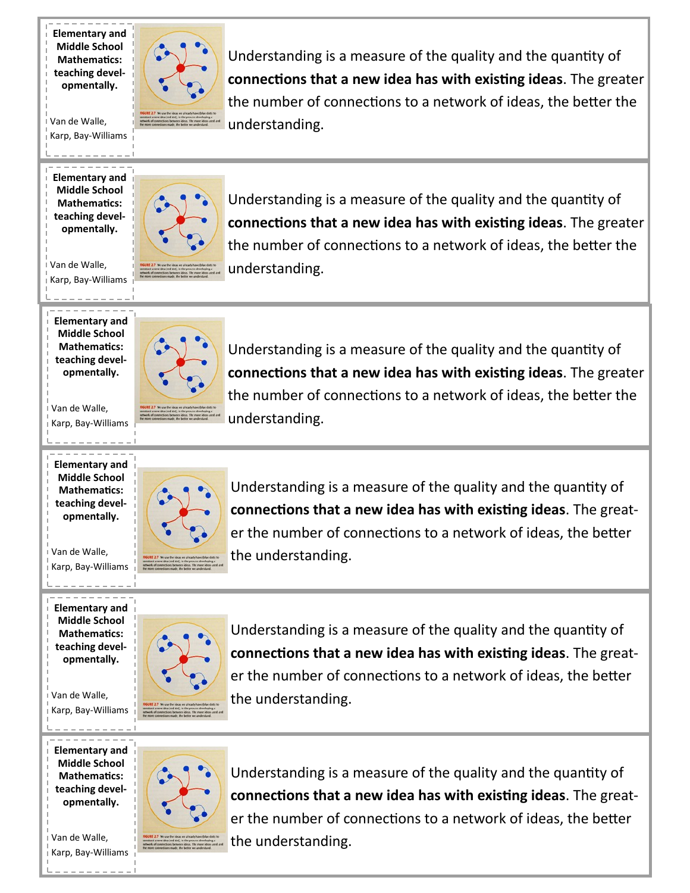**Elementary and Middle School Mathematics: teaching developmentally.**

Van de Walle, Karp, Bay-Williams

**Elementary and Middle School Mathematics: teaching developmentally.**

Van de Walle, Karp, Bay-Williams

**Elementary and Middle School Mathematics: teaching developmentally.**

Van de Walle, Karp, Bay-Williams

**Elementary and Middle School Mathematics: teaching developmentally.**

Van de Walle, Karp, Bay-Williams

Understanding is a measure of the quality and the quantity of **connections that a new idea has with existing ideas**. The greater the number of connections to a network of ideas, the better the understanding.

**Elementary and Middle School Mathematics: teaching developmentally.**

Van de Walle, Karp, Bay-Williams

Understanding is a measure of the quality and the quantity of **connections that a new idea has with existing ideas**. The greater the number of connections to a network of ideas, the better the understanding.

**Elementary and Middle School Mathematics: teaching developmentally.**

Van de Walle, Karp, Bay-Williams



Understanding is a measure of the quality and the quantity of **connections that a new idea has with existing ideas**. The greater the number of connections to a network of ideas, the better the understanding.



Understanding is a measure of the quality and the quantity of **connections that a new idea has with existing ideas**. The greater the number of connections to a network of ideas, the better the understanding.

Understanding is a measure of the quality and the quantity of

Understanding is a measure of the quality and the quantity of

**connections that a new idea has with existing ideas**. The greater the number of connections to a network of ideas, the better the

**connections that a new idea has with existing ideas**. The greater the number of connections to a network of ideas, the better the



understanding.

understanding.



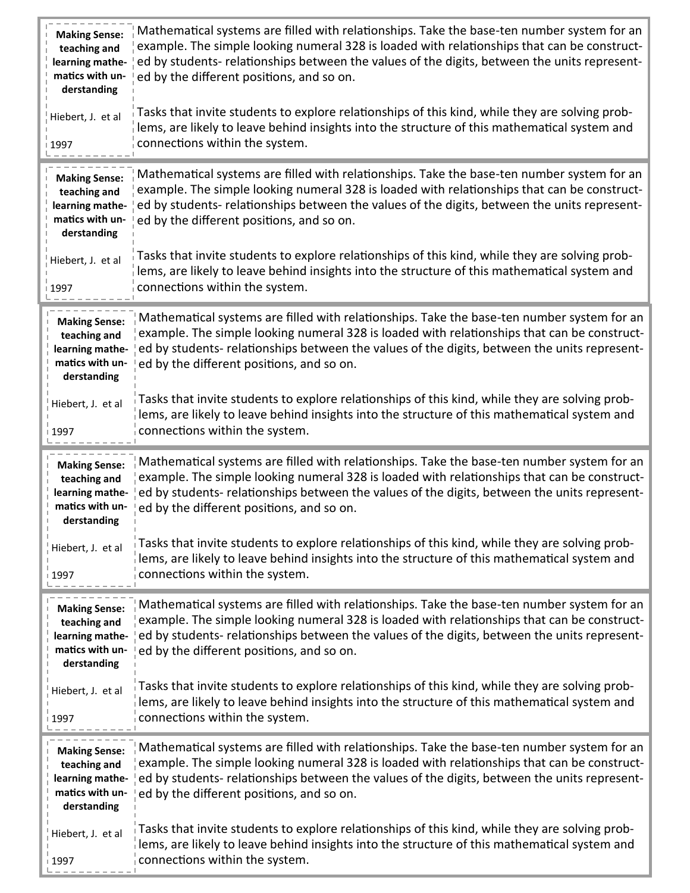| <b>Making Sense:</b><br>teaching and<br>learning mathe-<br>matics with un<br>derstanding  | Mathematical systems are filled with relationships. Take the base-ten number system for an<br>example. The simple looking numeral 328 is loaded with relationships that can be construct-<br>ed by students- relationships between the values of the digits, between the units represent-<br>ed by the different positions, and so on. |
|-------------------------------------------------------------------------------------------|----------------------------------------------------------------------------------------------------------------------------------------------------------------------------------------------------------------------------------------------------------------------------------------------------------------------------------------|
| Hiebert, J. et al<br>1997                                                                 | Tasks that invite students to explore relationships of this kind, while they are solving prob-<br>lems, are likely to leave behind insights into the structure of this mathematical system and<br>connections within the system.                                                                                                       |
| <b>Making Sense:</b><br>teaching and<br>learning mathe-<br>matics with un-<br>derstanding | Mathematical systems are filled with relationships. Take the base-ten number system for an<br>example. The simple looking numeral 328 is loaded with relationships that can be construct-<br>ed by students- relationships between the values of the digits, between the units represent-<br>ed by the different positions, and so on. |
| Hiebert, J. et al<br>1997                                                                 | Tasks that invite students to explore relationships of this kind, while they are solving prob-<br>$\vert$ lems, are likely to leave behind insights into the structure of this mathematical system and<br>connections within the system.                                                                                               |
| <b>Making Sense:</b><br>teaching and<br>learning mathe-<br>matics with un-<br>derstanding | Mathematical systems are filled with relationships. Take the base-ten number system for an<br>example. The simple looking numeral 328 is loaded with relationships that can be construct-<br>ed by students- relationships between the values of the digits, between the units represent-<br>ed by the different positions, and so on. |
| Hiebert, J. et al<br>1997                                                                 | Tasks that invite students to explore relationships of this kind, while they are solving prob-<br>lems, are likely to leave behind insights into the structure of this mathematical system and<br>connections within the system.                                                                                                       |
|                                                                                           |                                                                                                                                                                                                                                                                                                                                        |
| <b>Making Sense:</b><br>teaching and<br>learning mathe-<br>matics with un-<br>derstanding | Mathematical systems are filled with relationships. Take the base-ten number system for an<br>example. The simple looking numeral 328 is loaded with relationships that can be construct-<br>ed by students- relationships between the values of the digits, between the units represent-<br>ed by the different positions, and so on. |
| Hiebert, J. et al<br>1997                                                                 | Tasks that invite students to explore relationships of this kind, while they are solving prob-<br>lems, are likely to leave behind insights into the structure of this mathematical system and<br>connections within the system.                                                                                                       |
| <b>Making Sense:</b><br>teaching and<br>learning mathe-<br>matics with un-<br>derstanding | Mathematical systems are filled with relationships. Take the base-ten number system for an<br>example. The simple looking numeral 328 is loaded with relationships that can be construct-<br>ed by students- relationships between the values of the digits, between the units represent-<br>ed by the different positions, and so on. |
| Hiebert, J. et al<br>1997                                                                 | Tasks that invite students to explore relationships of this kind, while they are solving prob-<br>lems, are likely to leave behind insights into the structure of this mathematical system and<br>connections within the system.                                                                                                       |
| <b>Making Sense:</b><br>teaching and<br>learning mathe-<br>matics with un-<br>derstanding | Mathematical systems are filled with relationships. Take the base-ten number system for an<br>example. The simple looking numeral 328 is loaded with relationships that can be construct-<br>ed by students- relationships between the values of the digits, between the units represent-<br>ed by the different positions, and so on. |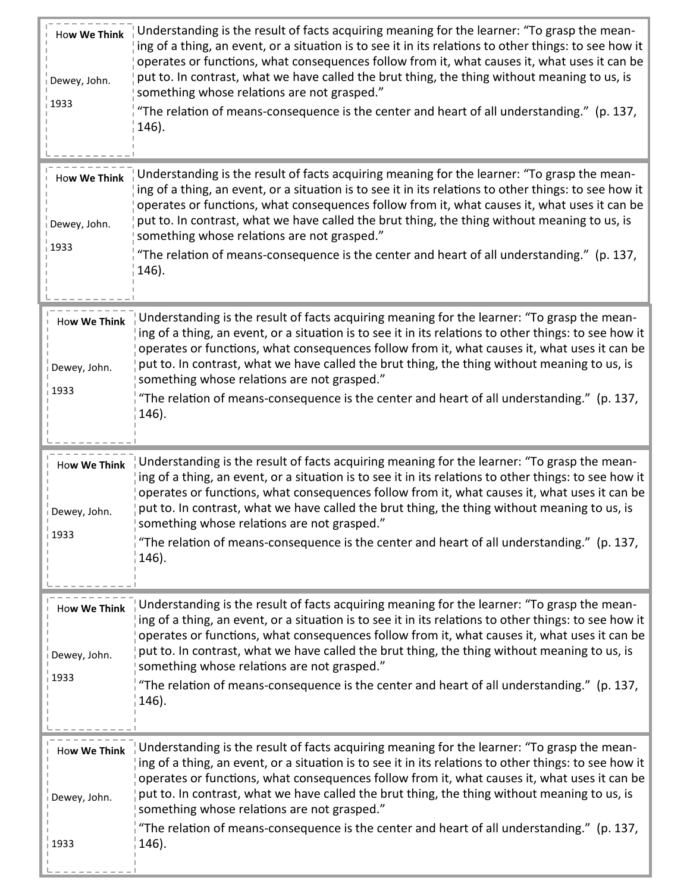| How We Think<br>Dewey, John.<br>1933        | Understanding is the result of facts acquiring meaning for the learner: "To grasp the mean-<br>ing of a thing, an event, or a situation is to see it in its relations to other things: to see how it<br>operates or functions, what consequences follow from it, what causes it, what uses it can be<br>put to. In contrast, what we have called the brut thing, the thing without meaning to us, is<br>something whose relations are not grasped."<br>"The relation of means-consequence is the center and heart of all understanding." (p. 137,<br>146). |
|---------------------------------------------|------------------------------------------------------------------------------------------------------------------------------------------------------------------------------------------------------------------------------------------------------------------------------------------------------------------------------------------------------------------------------------------------------------------------------------------------------------------------------------------------------------------------------------------------------------|
| How We Think<br>Dewey, John.<br>1933        | Understanding is the result of facts acquiring meaning for the learner: "To grasp the mean-<br>ing of a thing, an event, or a situation is to see it in its relations to other things: to see how it<br>operates or functions, what consequences follow from it, what causes it, what uses it can be<br>put to. In contrast, what we have called the brut thing, the thing without meaning to us, is<br>something whose relations are not grasped."<br>"The relation of means-consequence is the center and heart of all understanding." (p. 137,<br>146). |
| <b>How We Think</b><br>Dewey, John.<br>1933 | Understanding is the result of facts acquiring meaning for the learner: "To grasp the mean-<br>ing of a thing, an event, or a situation is to see it in its relations to other things: to see how it<br>operates or functions, what consequences follow from it, what causes it, what uses it can be<br>put to. In contrast, what we have called the brut thing, the thing without meaning to us, is<br>something whose relations are not grasped."<br>"The relation of means-consequence is the center and heart of all understanding." (p. 137,<br>146). |
| <b>How We Think</b><br>Dewey, John.<br>1933 | Understanding is the result of facts acquiring meaning for the learner: "To grasp the mean-<br>ing of a thing, an event, or a situation is to see it in its relations to other things: to see how it<br>operates or functions, what consequences follow from it, what causes it, what uses it can be<br>put to. In contrast, what we have called the brut thing, the thing without meaning to us, is<br>something whose relations are not grasped."<br>"The relation of means-consequence is the center and heart of all understanding." (p. 137,<br>146). |
| <b>How We Think</b><br>Dewey, John.<br>1933 | Understanding is the result of facts acquiring meaning for the learner: "To grasp the mean-<br>ing of a thing, an event, or a situation is to see it in its relations to other things: to see how it<br>operates or functions, what consequences follow from it, what causes it, what uses it can be<br>put to. In contrast, what we have called the brut thing, the thing without meaning to us, is<br>something whose relations are not grasped."<br>"The relation of means-consequence is the center and heart of all understanding." (p. 137,<br>146). |
| <b>How We Think</b><br>Dewey, John.<br>1933 | Understanding is the result of facts acquiring meaning for the learner: "To grasp the mean-<br>ing of a thing, an event, or a situation is to see it in its relations to other things: to see how it<br>operates or functions, what consequences follow from it, what causes it, what uses it can be<br>put to. In contrast, what we have called the brut thing, the thing without meaning to us, is<br>something whose relations are not grasped."<br>"The relation of means-consequence is the center and heart of all understanding." (p. 137,<br>146). |

л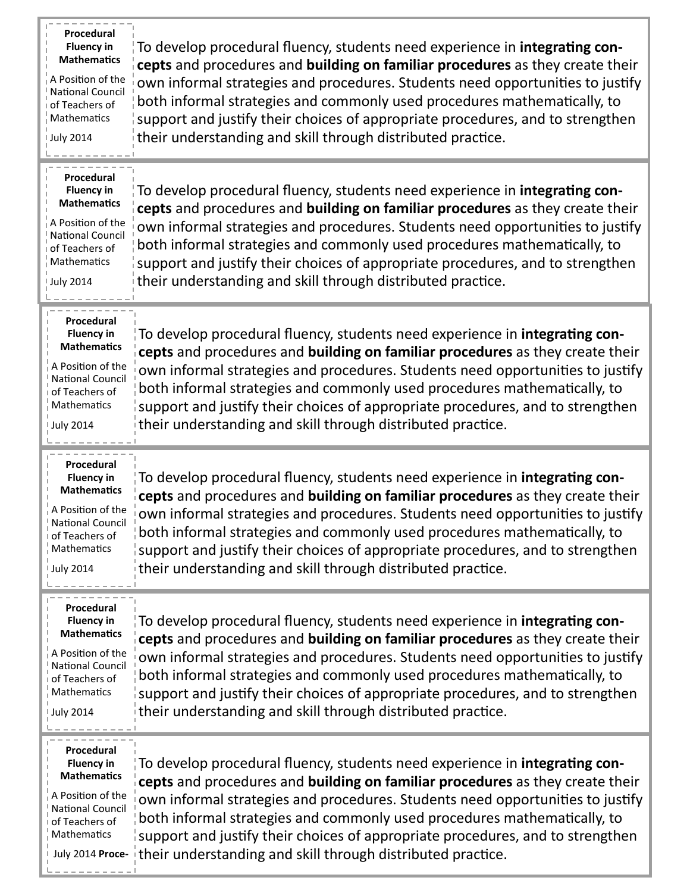| Procedural<br><b>Fluency in</b><br><b>Mathematics</b><br>A Position of the<br><b>National Council</b><br>of Teachers of<br>Mathematics<br><b>July 2014</b> | To develop procedural fluency, students need experience in integrating con-<br>cepts and procedures and building on familiar procedures as they create their<br>own informal strategies and procedures. Students need opportunities to justify<br>both informal strategies and commonly used procedures mathematically, to<br>support and justify their choices of appropriate procedures, and to strengthen<br>their understanding and skill through distributed practice.        |
|------------------------------------------------------------------------------------------------------------------------------------------------------------|------------------------------------------------------------------------------------------------------------------------------------------------------------------------------------------------------------------------------------------------------------------------------------------------------------------------------------------------------------------------------------------------------------------------------------------------------------------------------------|
| Procedural<br><b>Fluency in</b><br><b>Mathematics</b><br>A Position of the<br><b>National Council</b><br>of Teachers of<br>Mathematics<br><b>July 2014</b> | To develop procedural fluency, students need experience in integrating con-<br>cepts and procedures and building on familiar procedures as they create their<br>own informal strategies and procedures. Students need opportunities to justify<br>both informal strategies and commonly used procedures mathematically, to<br>support and justify their choices of appropriate procedures, and to strengthen<br>their understanding and skill through distributed practice.        |
| Procedural<br><b>Fluency in</b><br><b>Mathematics</b><br>A Position of the<br><b>National Council</b><br>of Teachers of<br>Mathematics<br>Uuly 2014        | To develop procedural fluency, students need experience in integrating con-<br>cepts and procedures and building on familiar procedures as they create their<br>own informal strategies and procedures. Students need opportunities to justify<br>both informal strategies and commonly used procedures mathematically, to<br>support and justify their choices of appropriate procedures, and to strengthen<br>their understanding and skill through distributed practice.        |
|                                                                                                                                                            |                                                                                                                                                                                                                                                                                                                                                                                                                                                                                    |
| Procedural<br><b>Fluency in</b><br><b>Mathematics</b><br>A Position of the<br><b>National Council</b><br>of Teachers of<br>Mathematics<br>July 2014        | To develop procedural fluency, students need experience in integrating con-<br>cepts and procedures and building on familiar procedures as they create their<br>own informal strategies and procedures. Students need opportunities to justify<br>both informal strategies and commonly used procedures mathematically, to<br>support and justify their choices of appropriate procedures, and to strengthen<br>their understanding and skill through distributed practice.        |
| Procedural<br><b>Fluency in</b><br><b>Mathematics</b><br>A Position of the<br><b>National Council</b><br>of Teachers of<br>Mathematics<br><b>July 2014</b> | To develop procedural fluency, students need experience in <b>integrating con-</b><br>cepts and procedures and building on familiar procedures as they create their<br>own informal strategies and procedures. Students need opportunities to justify<br>both informal strategies and commonly used procedures mathematically, to<br>support and justify their choices of appropriate procedures, and to strengthen<br>their understanding and skill through distributed practice. |